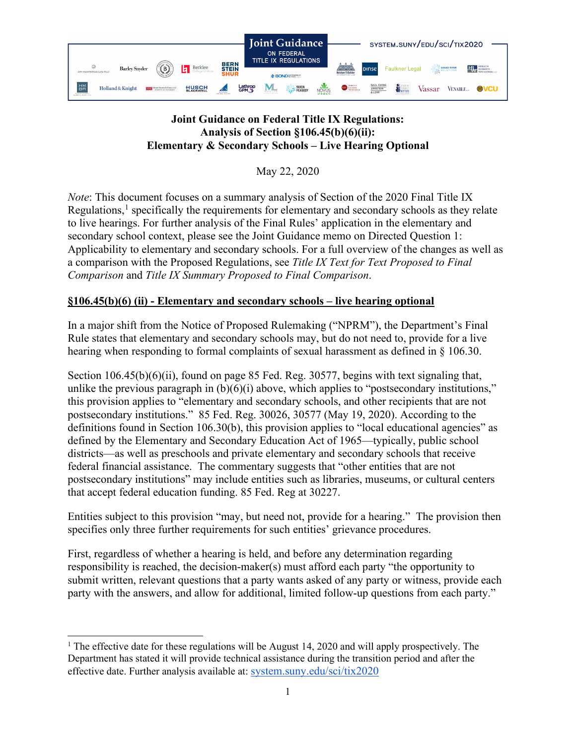

# **Joint Guidance on Federal Title IX Regulations: Analysis of Section §106.45(b)(6)(ii): Elementary & Secondary Schools – Live Hearing Optional**

May 22, 2020

*Note*: This document focuses on a summary analysis of Section of the 2020 Final Title IX Regulations, $<sup>1</sup>$  $<sup>1</sup>$  $<sup>1</sup>$  specifically the requirements for elementary and secondary schools as they relate</sup> to live hearings. For further analysis of the Final Rules' application in the elementary and secondary school context, please see the Joint Guidance memo on Directed Question 1: Applicability to elementary and secondary schools. For a full overview of the changes as well as a comparison with the Proposed Regulations, see *Title IX Text for Text Proposed to Final Comparison* and *Title IX Summary Proposed to Final Comparison*.

# **§106.45(b)(6) (ii) - Elementary and secondary schools – live hearing optional**

In a major shift from the Notice of Proposed Rulemaking ("NPRM"), the Department's Final Rule states that elementary and secondary schools may, but do not need to, provide for a live hearing when responding to formal complaints of sexual harassment as defined in § 106.30.

Section 106.45(b)(6)(ii), found on page 85 Fed. Reg. 30577, begins with text signaling that, unlike the previous paragraph in  $(b)(6)(i)$  above, which applies to "postsecondary institutions," this provision applies to "elementary and secondary schools, and other recipients that are not postsecondary institutions." 85 Fed. Reg. 30026, 30577 (May 19, 2020). According to the definitions found in Section 106.30(b), this provision applies to "local educational agencies" as defined by the Elementary and Secondary Education Act of 1965—typically, public school districts—as well as preschools and private elementary and secondary schools that receive federal financial assistance. The commentary suggests that "other entities that are not postsecondary institutions" may include entities such as libraries, museums, or cultural centers that accept federal education funding. 85 Fed. Reg at 30227.

Entities subject to this provision "may, but need not, provide for a hearing." The provision then specifies only three further requirements for such entities' grievance procedures.

First, regardless of whether a hearing is held, and before any determination regarding responsibility is reached, the decision-maker(s) must afford each party "the opportunity to submit written, relevant questions that a party wants asked of any party or witness, provide each party with the answers, and allow for additional, limited follow-up questions from each party."

<span id="page-0-0"></span><sup>&</sup>lt;sup>1</sup> The effective date for these regulations will be August 14, 2020 and will apply prospectively. The Department has stated it will provide technical assistance during the transition period and after the effective date. Further analysis available at: [system.suny.edu/sci/tix2020](https://system.suny.edu/sci/tix2020/)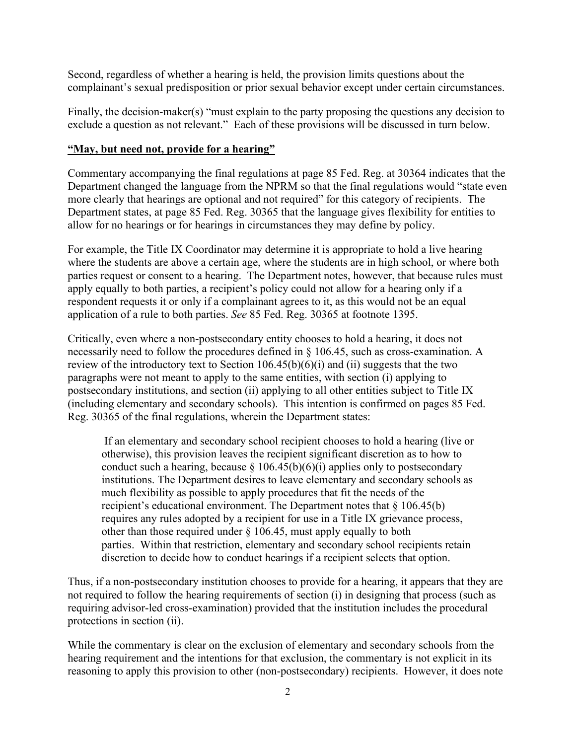Second, regardless of whether a hearing is held, the provision limits questions about the complainant's sexual predisposition or prior sexual behavior except under certain circumstances.

Finally, the decision-maker(s) "must explain to the party proposing the questions any decision to exclude a question as not relevant." Each of these provisions will be discussed in turn below.

#### **"May, but need not, provide for a hearing"**

Commentary accompanying the final regulations at page 85 Fed. Reg. at 30364 indicates that the Department changed the language from the NPRM so that the final regulations would "state even more clearly that hearings are optional and not required" for this category of recipients. The Department states, at page 85 Fed. Reg. 30365 that the language gives flexibility for entities to allow for no hearings or for hearings in circumstances they may define by policy.

For example, the Title IX Coordinator may determine it is appropriate to hold a live hearing where the students are above a certain age, where the students are in high school, or where both parties request or consent to a hearing. The Department notes, however, that because rules must apply equally to both parties, a recipient's policy could not allow for a hearing only if a respondent requests it or only if a complainant agrees to it, as this would not be an equal application of a rule to both parties. *See* 85 Fed. Reg. 30365 at footnote 1395.

Critically, even where a non-postsecondary entity chooses to hold a hearing, it does not necessarily need to follow the procedures defined in § 106.45, such as cross-examination. A review of the introductory text to Section  $106.45(b)(6)(i)$  and (ii) suggests that the two paragraphs were not meant to apply to the same entities, with section (i) applying to postsecondary institutions, and section (ii) applying to all other entities subject to Title IX (including elementary and secondary schools). This intention is confirmed on pages 85 Fed. Reg. 30365 of the final regulations, wherein the Department states:

If an elementary and secondary school recipient chooses to hold a hearing (live or otherwise), this provision leaves the recipient significant discretion as to how to conduct such a hearing, because  $\S 106.45(b)(6)(i)$  applies only to postsecondary institutions. The Department desires to leave elementary and secondary schools as much flexibility as possible to apply procedures that fit the needs of the recipient's educational environment. The Department notes that  $\S 106.45(b)$ requires any rules adopted by a recipient for use in a Title IX grievance process, other than those required under § 106.45, must apply equally to both parties. Within that restriction, elementary and secondary school recipients retain discretion to decide how to conduct hearings if a recipient selects that option.

Thus, if a non-postsecondary institution chooses to provide for a hearing, it appears that they are not required to follow the hearing requirements of section (i) in designing that process (such as requiring advisor-led cross-examination) provided that the institution includes the procedural protections in section (ii).

While the commentary is clear on the exclusion of elementary and secondary schools from the hearing requirement and the intentions for that exclusion, the commentary is not explicit in its reasoning to apply this provision to other (non-postsecondary) recipients. However, it does note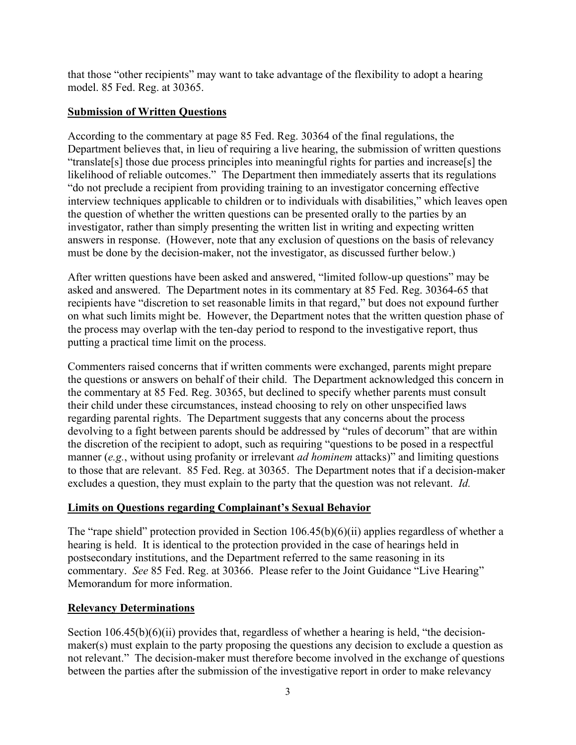that those "other recipients" may want to take advantage of the flexibility to adopt a hearing model. 85 Fed. Reg. at 30365.

## **Submission of Written Questions**

According to the commentary at page 85 Fed. Reg. 30364 of the final regulations, the Department believes that, in lieu of requiring a live hearing, the submission of written questions "translate[s] those due process principles into meaningful rights for parties and increase[s] the likelihood of reliable outcomes." The Department then immediately asserts that its regulations "do not preclude a recipient from providing training to an investigator concerning effective interview techniques applicable to children or to individuals with disabilities," which leaves open the question of whether the written questions can be presented orally to the parties by an investigator, rather than simply presenting the written list in writing and expecting written answers in response. (However, note that any exclusion of questions on the basis of relevancy must be done by the decision-maker, not the investigator, as discussed further below.)

After written questions have been asked and answered, "limited follow-up questions" may be asked and answered. The Department notes in its commentary at 85 Fed. Reg. 30364-65 that recipients have "discretion to set reasonable limits in that regard," but does not expound further on what such limits might be. However, the Department notes that the written question phase of the process may overlap with the ten-day period to respond to the investigative report, thus putting a practical time limit on the process.

Commenters raised concerns that if written comments were exchanged, parents might prepare the questions or answers on behalf of their child. The Department acknowledged this concern in the commentary at 85 Fed. Reg. 30365, but declined to specify whether parents must consult their child under these circumstances, instead choosing to rely on other unspecified laws regarding parental rights. The Department suggests that any concerns about the process devolving to a fight between parents should be addressed by "rules of decorum" that are within the discretion of the recipient to adopt, such as requiring "questions to be posed in a respectful manner (*e.g.*, without using profanity or irrelevant *ad hominem* attacks)" and limiting questions to those that are relevant. 85 Fed. Reg. at 30365. The Department notes that if a decision-maker excludes a question, they must explain to the party that the question was not relevant. *Id.*

## **Limits on Questions regarding Complainant's Sexual Behavior**

The "rape shield" protection provided in Section 106.45(b)(6)(ii) applies regardless of whether a hearing is held. It is identical to the protection provided in the case of hearings held in postsecondary institutions, and the Department referred to the same reasoning in its commentary. *See* 85 Fed. Reg. at 30366. Please refer to the Joint Guidance "Live Hearing" Memorandum for more information.

## **Relevancy Determinations**

Section  $106.45(b)(6)(ii)$  provides that, regardless of whether a hearing is held, "the decisionmaker(s) must explain to the party proposing the questions any decision to exclude a question as not relevant." The decision-maker must therefore become involved in the exchange of questions between the parties after the submission of the investigative report in order to make relevancy